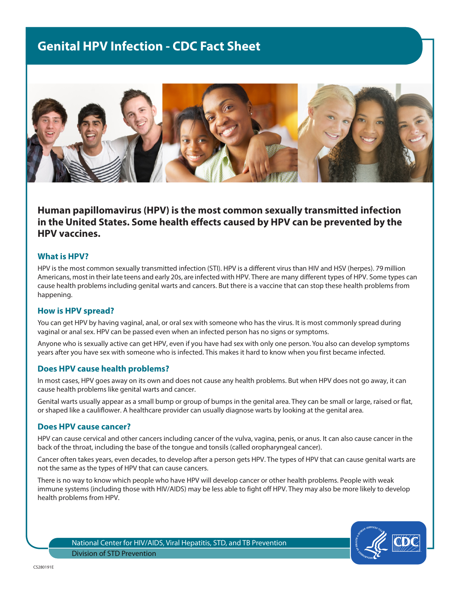# **Genital HPV Infection - CDC Fact Sheet**



**Human papillomavirus (HPV) is the most common sexually transmitted infection in the United States. Some health effects caused by HPV can be prevented by the HPV vaccines.**

#### **What is HPV?**

HPV is the most common sexually transmitted infection (STI). HPV is a different virus than HIV and HSV (herpes). 79 million Americans, most in their late teens and early 20s, are infected with HPV. There are many different types of HPV. Some types can cause health problems including genital warts and cancers. But there is a vaccine that can stop these health problems from happening.

#### **How is HPV spread?**

You can get HPV by having vaginal, anal, or oral sex with someone who has the virus. It is most commonly spread during vaginal or anal sex. HPV can be passed even when an infected person has no signs or symptoms.

Anyone who is sexually active can get HPV, even if you have had sex with only one person. You also can develop symptoms years after you have sex with someone who is infected. This makes it hard to know when you first became infected.

## **Does HPV cause health problems?**

In most cases, HPV goes away on its own and does not cause any health problems. But when HPV does not go away, it can cause health problems like genital warts and cancer.

Genital warts usually appear as a small bump or group of bumps in the genital area. They can be small or large, raised or flat, or shaped like a cauliflower. A healthcare provider can usually diagnose warts by looking at the genital area.

#### **Does HPV cause cancer?**

HPV can cause cervical and other cancers including cancer of the vulva, vagina, penis, or anus. It can also cause cancer in the back of the throat, including the base of the tongue and tonsils (called oropharyngeal cancer).

Cancer often takes years, even decades, to develop after a person gets HPV. The types of HPV that can cause genital warts are not the same as the types of HPV that can cause cancers.

There is no way to know which people who have HPV will develop cancer or other health problems. People with weak immune systems (including those with HIV/AIDS) may be less able to fight off HPV. They may also be more likely to develop health problems from HPV.

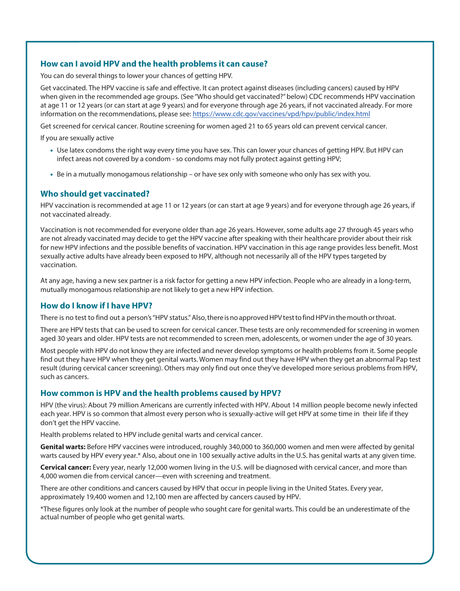## **How can I avoid HPV and the health problems it can cause?**

You can do several things to lower your chances of getting HPV.

Get vaccinated. The HPV vaccine is safe and effective. It can protect against diseases (including cancers) caused by HPV when given in the recommended age groups. (See "Who should get vaccinated?" below) CDC recommends HPV vaccination at age 11 or 12 years (or can start at age 9 years) and for everyone through age 26 years, if not vaccinated already. For more information on the recommendations, please see: https://www.cdc.gov/vaccines/vpd/hpv/public/index.html

Get screened for cervical cancer. Routine screening for women aged 21 to 65 years old can prevent cervical cancer.

If you are sexually active

- Use latex condoms the right way every time you have sex. This can lower your chances of getting HPV. But HPV can infect areas not covered by a condom - so condoms may not fully protect against getting HPV;
- Be in a mutually monogamous relationship or have sex only with someone who only has sex with you.

## **Who should get vaccinated?**

HPV vaccination is recommended at age 11 or 12 years (or can start at age 9 years) and for everyone through age 26 years, if not vaccinated already.

Vaccination is not recommended for everyone older than age 26 years. However, some adults age 27 through 45 years who are not already vaccinated may decide to get the HPV vaccine after speaking with their healthcare provider about their risk for new HPV infections and the possible benefits of vaccination. HPV vaccination in this age range provides less benefit. Most sexually active adults have already been exposed to HPV, although not necessarily all of the HPV types targeted by vaccination.

At any age, having a new sex partner is a risk factor for getting a new HPV infection. People who are already in a long-term, mutually monogamous relationship are not likely to get a new HPV infection.

## **How do I know if I have HPV?**

There is no test to find out a person's "HPV status." Also, there is no approved HPV test to find HPV in the mouth or throat.

There are HPV tests that can be used to screen for cervical cancer. These tests are only recommended for screening in women aged 30 years and older. HPV tests are not recommended to screen men, adolescents, or women under the age of 30 years.

Most people with HPV do not know they are infected and never develop symptoms or health problems from it. Some people find out they have HPV when they get genital warts. Women may find out they have HPV when they get an abnormal Pap test result (during cervical cancer screening). Others may only find out once they've developed more serious problems from HPV, such as cancers.

## **How common is HPV and the health problems caused by HPV?**

HPV (the virus): About 79 million Americans are currently infected with HPV. About 14 million people become newly infected each year. HPV is so common that almost every person who is sexually-active will get HPV at some time in their life if they don't get the HPV vaccine.

Health problems related to HPV include genital warts and cervical cancer.

**Genital warts:** Before HPV vaccines were introduced, roughly 340,000 to 360,000 women and men were affected by genital warts caused by HPV every year.\* Also, about one in 100 sexually active adults in the U.S. has genital warts at any given time.

**Cervical cancer:** Every year, nearly 12,000 women living in the U.S. will be diagnosed with cervical cancer, and more than 4,000 women die from cervical cancer—even with screening and treatment.

There are other conditions and cancers caused by HPV that occur in people living in the United States. Every year, approximately 19,400 women and 12,100 men are affected by cancers caused by HPV.

\*These figures only look at the number of people who sought care for genital warts. This could be an underestimate of the actual number of people who get genital warts.